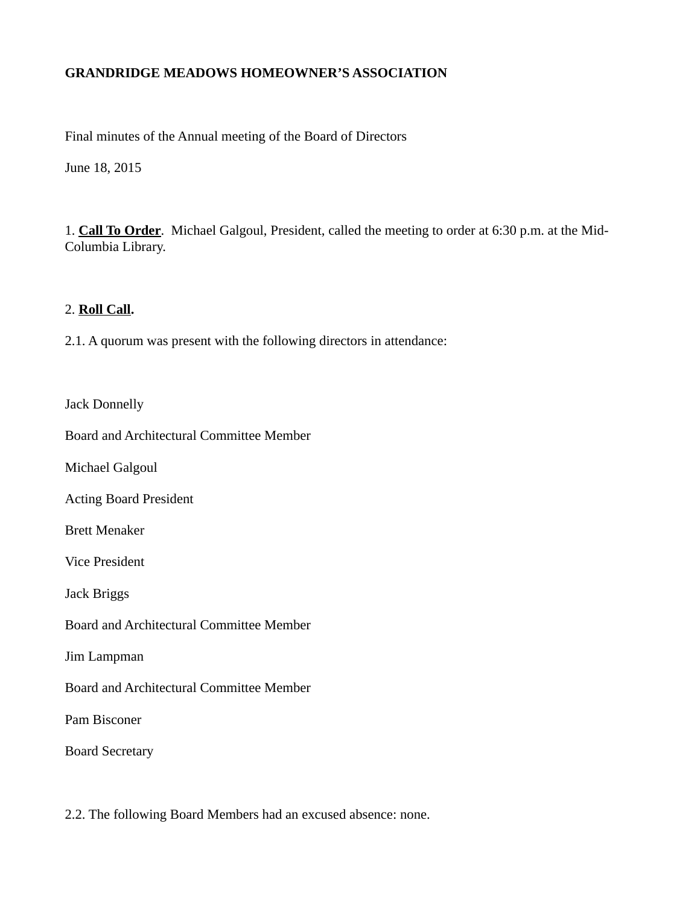### **GRANDRIDGE MEADOWS HOMEOWNER'S ASSOCIATION**

Final minutes of the Annual meeting of the Board of Directors

June 18, 2015

1. **Call To Order**. Michael Galgoul, President, called the meeting to order at 6:30 p.m. at the Mid-Columbia Library.

#### 2. **Roll Call.**

2.1. A quorum was present with the following directors in attendance:

Jack Donnelly

Board and Architectural Committee Member

Michael Galgoul

Acting Board President

Brett Menaker

Vice President

Jack Briggs

Board and Architectural Committee Member

Jim Lampman

Board and Architectural Committee Member

Pam Bisconer

Board Secretary

2.2. The following Board Members had an excused absence: none.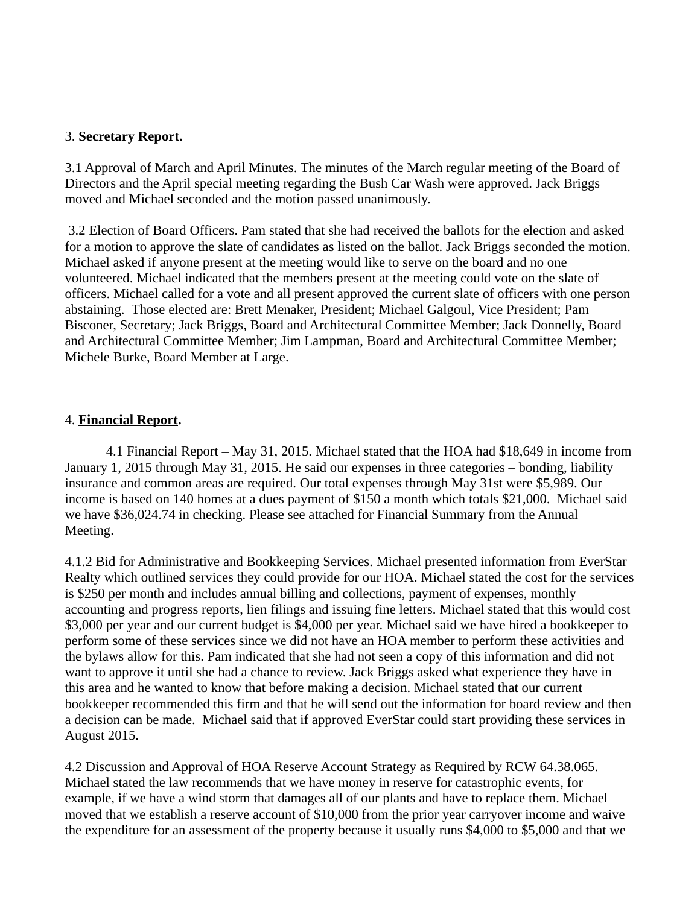### 3. **Secretary Report.**

3.1 Approval of March and April Minutes. The minutes of the March regular meeting of the Board of Directors and the April special meeting regarding the Bush Car Wash were approved. Jack Briggs moved and Michael seconded and the motion passed unanimously.

3.2 Election of Board Officers. Pam stated that she had received the ballots for the election and asked for a motion to approve the slate of candidates as listed on the ballot. Jack Briggs seconded the motion. Michael asked if anyone present at the meeting would like to serve on the board and no one volunteered. Michael indicated that the members present at the meeting could vote on the slate of officers. Michael called for a vote and all present approved the current slate of officers with one person abstaining. Those elected are: Brett Menaker, President; Michael Galgoul, Vice President; Pam Bisconer, Secretary; Jack Briggs, Board and Architectural Committee Member; Jack Donnelly, Board and Architectural Committee Member; Jim Lampman, Board and Architectural Committee Member; Michele Burke, Board Member at Large.

#### 4. **Financial Report.**

4.1 Financial Report – May 31, 2015. Michael stated that the HOA had \$18,649 in income from January 1, 2015 through May 31, 2015. He said our expenses in three categories – bonding, liability insurance and common areas are required. Our total expenses through May 31st were \$5,989. Our income is based on 140 homes at a dues payment of \$150 a month which totals \$21,000. Michael said we have \$36,024.74 in checking. Please see attached for Financial Summary from the Annual Meeting.

4.1.2 Bid for Administrative and Bookkeeping Services. Michael presented information from EverStar Realty which outlined services they could provide for our HOA. Michael stated the cost for the services is \$250 per month and includes annual billing and collections, payment of expenses, monthly accounting and progress reports, lien filings and issuing fine letters. Michael stated that this would cost \$3,000 per year and our current budget is \$4,000 per year. Michael said we have hired a bookkeeper to perform some of these services since we did not have an HOA member to perform these activities and the bylaws allow for this. Pam indicated that she had not seen a copy of this information and did not want to approve it until she had a chance to review. Jack Briggs asked what experience they have in this area and he wanted to know that before making a decision. Michael stated that our current bookkeeper recommended this firm and that he will send out the information for board review and then a decision can be made. Michael said that if approved EverStar could start providing these services in August 2015.

4.2 Discussion and Approval of HOA Reserve Account Strategy as Required by RCW 64.38.065. Michael stated the law recommends that we have money in reserve for catastrophic events, for example, if we have a wind storm that damages all of our plants and have to replace them. Michael moved that we establish a reserve account of \$10,000 from the prior year carryover income and waive the expenditure for an assessment of the property because it usually runs \$4,000 to \$5,000 and that we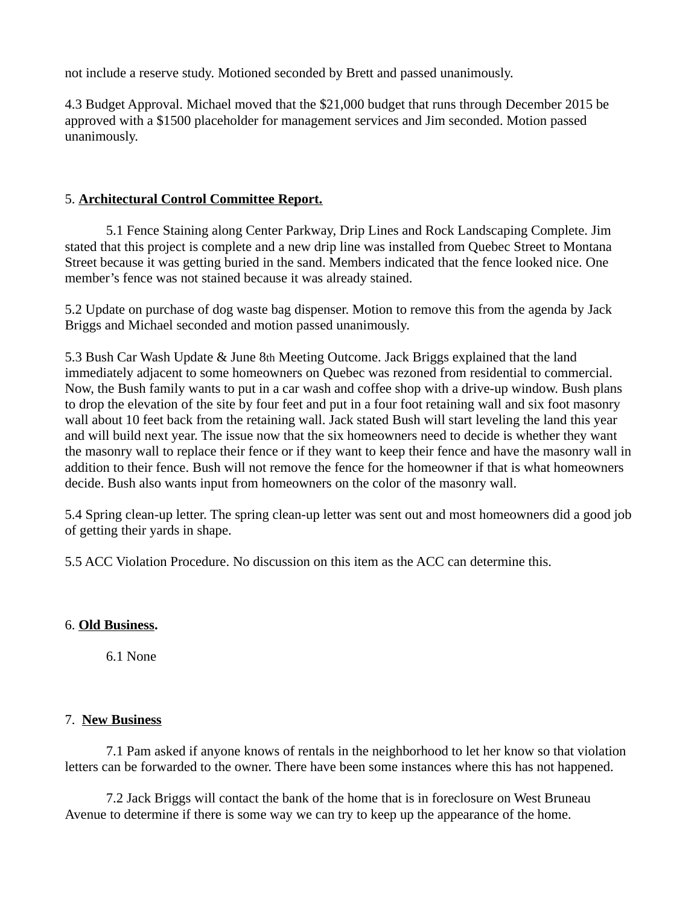not include a reserve study. Motioned seconded by Brett and passed unanimously.

4.3 Budget Approval. Michael moved that the \$21,000 budget that runs through December 2015 be approved with a \$1500 placeholder for management services and Jim seconded. Motion passed unanimously.

## 5. **Architectural Control Committee Report.**

5.1 Fence Staining along Center Parkway, Drip Lines and Rock Landscaping Complete. Jim stated that this project is complete and a new drip line was installed from Quebec Street to Montana Street because it was getting buried in the sand. Members indicated that the fence looked nice. One member's fence was not stained because it was already stained.

5.2 Update on purchase of dog waste bag dispenser. Motion to remove this from the agenda by Jack Briggs and Michael seconded and motion passed unanimously.

5.3 Bush Car Wash Update & June 8th Meeting Outcome. Jack Briggs explained that the land immediately adjacent to some homeowners on Quebec was rezoned from residential to commercial. Now, the Bush family wants to put in a car wash and coffee shop with a drive-up window. Bush plans to drop the elevation of the site by four feet and put in a four foot retaining wall and six foot masonry wall about 10 feet back from the retaining wall. Jack stated Bush will start leveling the land this year and will build next year. The issue now that the six homeowners need to decide is whether they want the masonry wall to replace their fence or if they want to keep their fence and have the masonry wall in addition to their fence. Bush will not remove the fence for the homeowner if that is what homeowners decide. Bush also wants input from homeowners on the color of the masonry wall.

5.4 Spring clean-up letter. The spring clean-up letter was sent out and most homeowners did a good job of getting their yards in shape.

5.5 ACC Violation Procedure. No discussion on this item as the ACC can determine this.

# 6. **Old Business.**

6.1 None

# 7. **New Business**

7.1 Pam asked if anyone knows of rentals in the neighborhood to let her know so that violation letters can be forwarded to the owner. There have been some instances where this has not happened.

7.2 Jack Briggs will contact the bank of the home that is in foreclosure on West Bruneau Avenue to determine if there is some way we can try to keep up the appearance of the home.